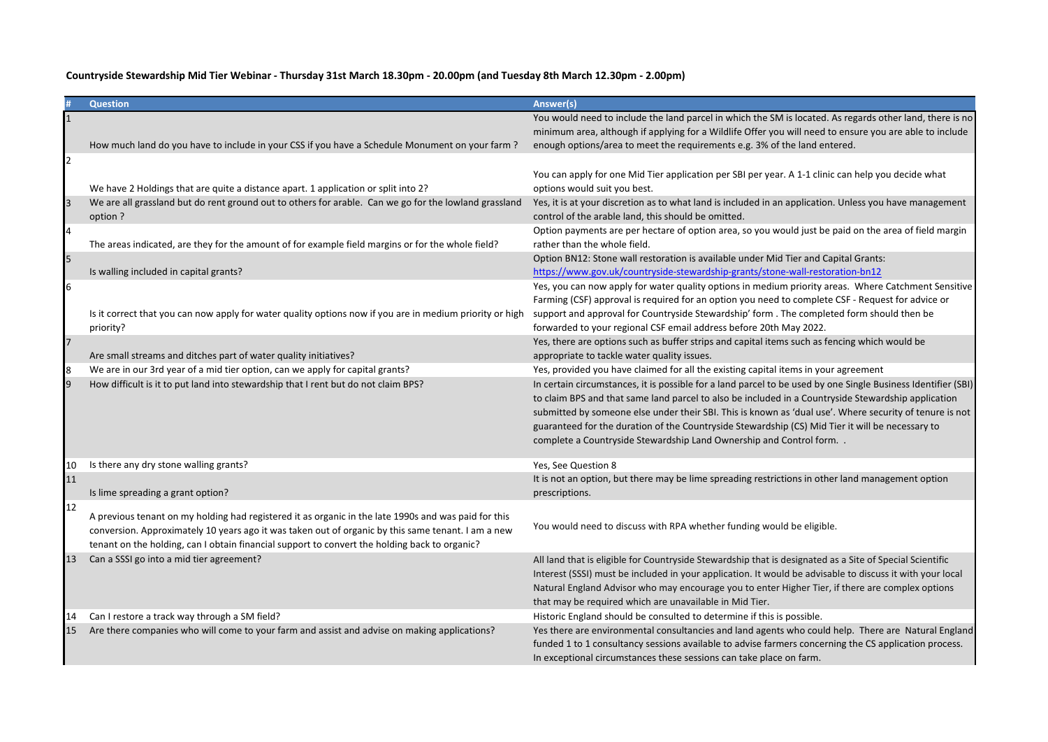|                | <b>Question</b>                                                                                                                                                                                                                                                                                             | Answer(s)                                                                                                                                                                                                                                                                                                                                                                                                                                                                                                 |
|----------------|-------------------------------------------------------------------------------------------------------------------------------------------------------------------------------------------------------------------------------------------------------------------------------------------------------------|-----------------------------------------------------------------------------------------------------------------------------------------------------------------------------------------------------------------------------------------------------------------------------------------------------------------------------------------------------------------------------------------------------------------------------------------------------------------------------------------------------------|
|                | How much land do you have to include in your CSS if you have a Schedule Monument on your farm?                                                                                                                                                                                                              | You would need to include the land parcel in which the SM is located. As regards other land, there is no<br>minimum area, although if applying for a Wildlife Offer you will need to ensure you are able to include<br>enough options/area to meet the requirements e.g. 3% of the land entered.                                                                                                                                                                                                          |
| 2              | We have 2 Holdings that are quite a distance apart. 1 application or split into 2?                                                                                                                                                                                                                          | You can apply for one Mid Tier application per SBI per year. A 1-1 clinic can help you decide what<br>options would suit you best.                                                                                                                                                                                                                                                                                                                                                                        |
| $\overline{3}$ | We are all grassland but do rent ground out to others for arable. Can we go for the lowland grassland<br>option ?                                                                                                                                                                                           | Yes, it is at your discretion as to what land is included in an application. Unless you have management<br>control of the arable land, this should be omitted.                                                                                                                                                                                                                                                                                                                                            |
| 4              | The areas indicated, are they for the amount of for example field margins or for the whole field?                                                                                                                                                                                                           | Option payments are per hectare of option area, so you would just be paid on the area of field margin<br>rather than the whole field.                                                                                                                                                                                                                                                                                                                                                                     |
| 5              | Is walling included in capital grants?                                                                                                                                                                                                                                                                      | Option BN12: Stone wall restoration is available under Mid Tier and Capital Grants:<br>https://www.gov.uk/countryside-stewardship-grants/stone-wall-restoration-bn12                                                                                                                                                                                                                                                                                                                                      |
| 6              | Is it correct that you can now apply for water quality options now if you are in medium priority or high<br>priority?                                                                                                                                                                                       | Yes, you can now apply for water quality options in medium priority areas. Where Catchment Sensitive<br>Farming (CSF) approval is required for an option you need to complete CSF - Request for advice or<br>support and approval for Countryside Stewardship' form . The completed form should then be<br>forwarded to your regional CSF email address before 20th May 2022.                                                                                                                             |
|                | Are small streams and ditches part of water quality initiatives?                                                                                                                                                                                                                                            | Yes, there are options such as buffer strips and capital items such as fencing which would be<br>appropriate to tackle water quality issues.                                                                                                                                                                                                                                                                                                                                                              |
| 8              | We are in our 3rd year of a mid tier option, can we apply for capital grants?                                                                                                                                                                                                                               | Yes, provided you have claimed for all the existing capital items in your agreement                                                                                                                                                                                                                                                                                                                                                                                                                       |
|                | How difficult is it to put land into stewardship that I rent but do not claim BPS?                                                                                                                                                                                                                          | In certain circumstances, it is possible for a land parcel to be used by one Single Business Identifier (SBI)<br>to claim BPS and that same land parcel to also be included in a Countryside Stewardship application<br>submitted by someone else under their SBI. This is known as 'dual use'. Where security of tenure is not<br>guaranteed for the duration of the Countryside Stewardship (CS) Mid Tier it will be necessary to<br>complete a Countryside Stewardship Land Ownership and Control form |
| 10             | Is there any dry stone walling grants?                                                                                                                                                                                                                                                                      | Yes, See Question 8                                                                                                                                                                                                                                                                                                                                                                                                                                                                                       |
| 11             | Is lime spreading a grant option?                                                                                                                                                                                                                                                                           | It is not an option, but there may be lime spreading restrictions in other land management option<br>prescriptions.                                                                                                                                                                                                                                                                                                                                                                                       |
| 12             | A previous tenant on my holding had registered it as organic in the late 1990s and was paid for this<br>conversion. Approximately 10 years ago it was taken out of organic by this same tenant. I am a new<br>tenant on the holding, can I obtain financial support to convert the holding back to organic? | You would need to discuss with RPA whether funding would be eligible.                                                                                                                                                                                                                                                                                                                                                                                                                                     |
| 13             | Can a SSSI go into a mid tier agreement?                                                                                                                                                                                                                                                                    | All land that is eligible for Countryside Stewardship that is designated as a Site of Special Scientific<br>Interest (SSSI) must be included in your application. It would be advisable to discuss it with your local<br>Natural England Advisor who may encourage you to enter Higher Tier, if there are complex options<br>that may be required which are unavailable in Mid Tier.                                                                                                                      |
| 14<br>15       | Can I restore a track way through a SM field?<br>Are there companies who will come to your farm and assist and advise on making applications?                                                                                                                                                               | Historic England should be consulted to determine if this is possible.<br>Yes there are environmental consultancies and land agents who could help. There are Natural England<br>funded 1 to 1 consultancy sessions available to advise farmers concerning the CS application process.<br>In exceptional circumstances these sessions can take place on farm.                                                                                                                                             |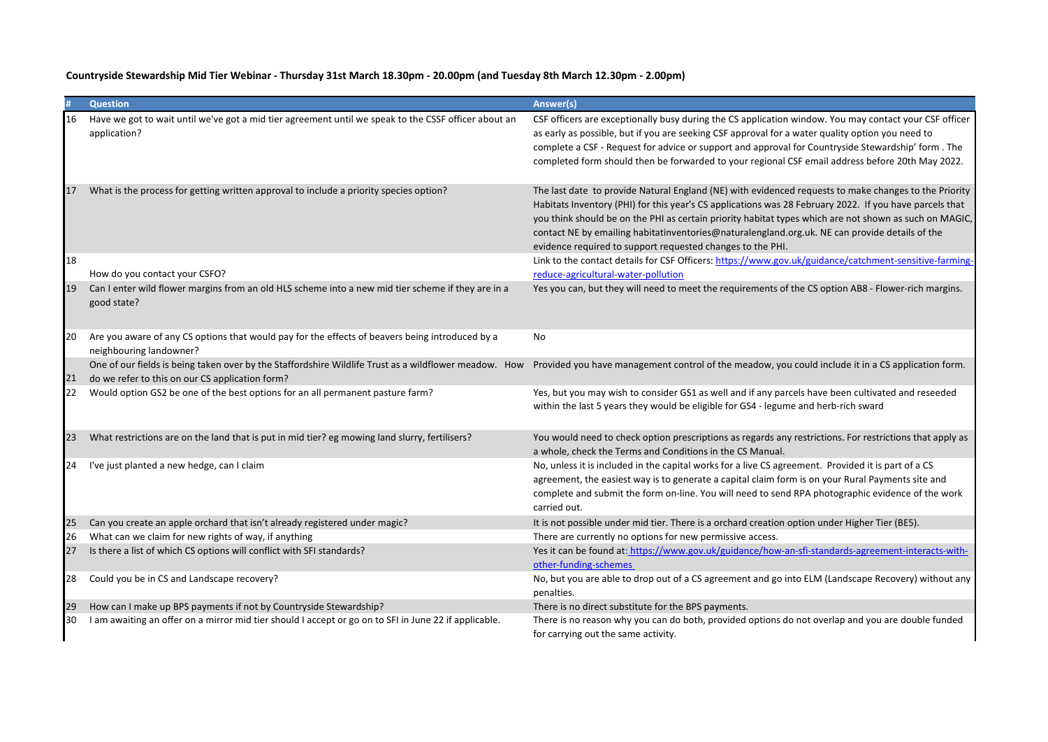|    | <b>Question</b>                                                                                                                                          | Answer(s)                                                                                                                                                                                                                                                                                                                                                                                                                                                                                  |
|----|----------------------------------------------------------------------------------------------------------------------------------------------------------|--------------------------------------------------------------------------------------------------------------------------------------------------------------------------------------------------------------------------------------------------------------------------------------------------------------------------------------------------------------------------------------------------------------------------------------------------------------------------------------------|
| 16 | Have we got to wait until we've got a mid tier agreement until we speak to the CSSF officer about an<br>application?                                     | CSF officers are exceptionally busy during the CS application window. You may contact your CSF officer<br>as early as possible, but if you are seeking CSF approval for a water quality option you need to<br>complete a CSF - Request for advice or support and approval for Countryside Stewardship' form . The<br>completed form should then be forwarded to your regional CSF email address before 20th May 2022.                                                                      |
| 17 | What is the process for getting written approval to include a priority species option?                                                                   | The last date to provide Natural England (NE) with evidenced requests to make changes to the Priority<br>Habitats Inventory (PHI) for this year's CS applications was 28 February 2022. If you have parcels that<br>you think should be on the PHI as certain priority habitat types which are not shown as such on MAGIC,<br>contact NE by emailing habitatinventories@naturalengland.org.uk. NE can provide details of the<br>evidence required to support requested changes to the PHI. |
| 18 | How do you contact your CSFO?                                                                                                                            | Link to the contact details for CSF Officers: https://www.gov.uk/guidance/catchment-sensitive-farming-<br>reduce-agricultural-water-pollution                                                                                                                                                                                                                                                                                                                                              |
| 19 | Can I enter wild flower margins from an old HLS scheme into a new mid tier scheme if they are in a<br>good state?                                        | Yes you can, but they will need to meet the requirements of the CS option AB8 - Flower-rich margins.                                                                                                                                                                                                                                                                                                                                                                                       |
| 20 | Are you aware of any CS options that would pay for the effects of beavers being introduced by a<br>neighbouring landowner?                               | No                                                                                                                                                                                                                                                                                                                                                                                                                                                                                         |
| 21 | One of our fields is being taken over by the Staffordshire Wildlife Trust as a wildflower meadow. How<br>do we refer to this on our CS application form? | Provided you have management control of the meadow, you could include it in a CS application form.                                                                                                                                                                                                                                                                                                                                                                                         |
| 22 | Would option GS2 be one of the best options for an all permanent pasture farm?                                                                           | Yes, but you may wish to consider GS1 as well and if any parcels have been cultivated and reseeded<br>within the last 5 years they would be eligible for GS4 - legume and herb-rich sward                                                                                                                                                                                                                                                                                                  |
| 23 | What restrictions are on the land that is put in mid tier? eg mowing land slurry, fertilisers?                                                           | You would need to check option prescriptions as regards any restrictions. For restrictions that apply as<br>a whole, check the Terms and Conditions in the CS Manual.                                                                                                                                                                                                                                                                                                                      |
| 24 | I've just planted a new hedge, can I claim                                                                                                               | No, unless it is included in the capital works for a live CS agreement. Provided it is part of a CS<br>agreement, the easiest way is to generate a capital claim form is on your Rural Payments site and<br>complete and submit the form on-line. You will need to send RPA photographic evidence of the work<br>carried out.                                                                                                                                                              |
| 25 | Can you create an apple orchard that isn't already registered under magic?                                                                               | It is not possible under mid tier. There is a orchard creation option under Higher Tier (BE5).                                                                                                                                                                                                                                                                                                                                                                                             |
| 26 | What can we claim for new rights of way, if anything                                                                                                     | There are currently no options for new permissive access.                                                                                                                                                                                                                                                                                                                                                                                                                                  |
| 27 | Is there a list of which CS options will conflict with SFI standards?                                                                                    | Yes it can be found at: https://www.gov.uk/guidance/how-an-sfi-standards-agreement-interacts-with-<br>other-funding-schemes                                                                                                                                                                                                                                                                                                                                                                |
| 28 | Could you be in CS and Landscape recovery?                                                                                                               | No, but you are able to drop out of a CS agreement and go into ELM (Landscape Recovery) without any<br>penalties.                                                                                                                                                                                                                                                                                                                                                                          |
| 29 | How can I make up BPS payments if not by Countryside Stewardship?                                                                                        | There is no direct substitute for the BPS payments.                                                                                                                                                                                                                                                                                                                                                                                                                                        |
| 30 | I am awaiting an offer on a mirror mid tier should I accept or go on to SFI in June 22 if applicable.                                                    | There is no reason why you can do both, provided options do not overlap and you are double funded<br>for carrying out the same activity.                                                                                                                                                                                                                                                                                                                                                   |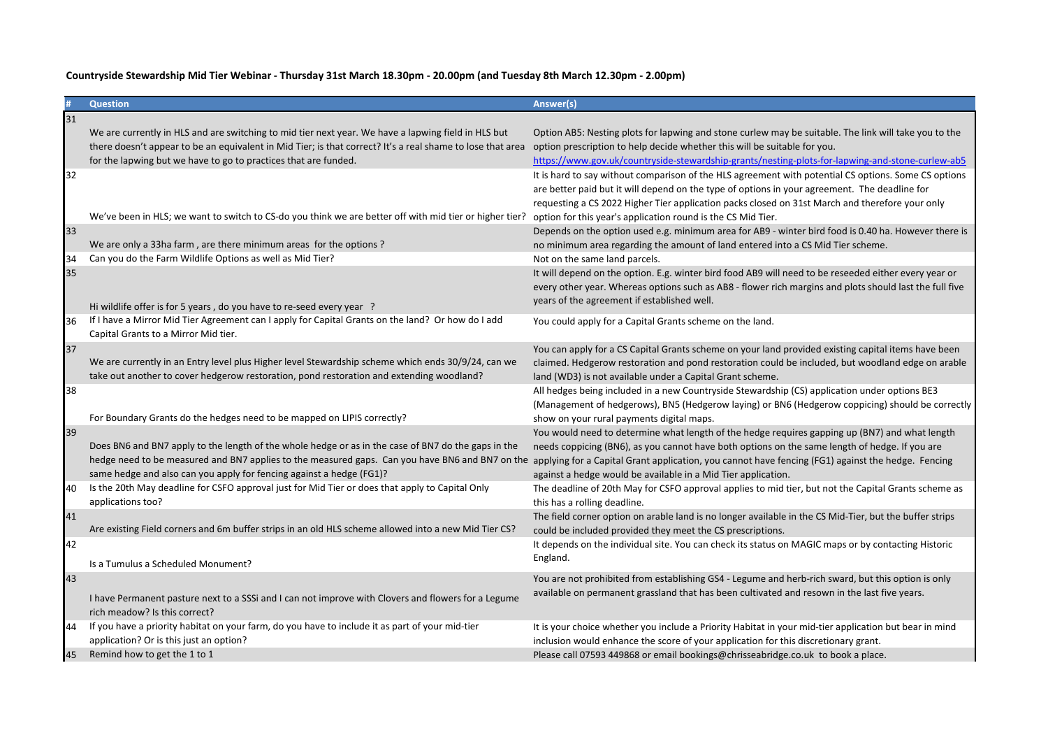|    | <b>Question</b>                                                                                                                                                                                                                                                                                                                                                                   | Answer(s)                                                                                                                                                                                                                                                                                                                                                                |
|----|-----------------------------------------------------------------------------------------------------------------------------------------------------------------------------------------------------------------------------------------------------------------------------------------------------------------------------------------------------------------------------------|--------------------------------------------------------------------------------------------------------------------------------------------------------------------------------------------------------------------------------------------------------------------------------------------------------------------------------------------------------------------------|
| 31 |                                                                                                                                                                                                                                                                                                                                                                                   |                                                                                                                                                                                                                                                                                                                                                                          |
|    | We are currently in HLS and are switching to mid tier next year. We have a lapwing field in HLS but<br>there doesn't appear to be an equivalent in Mid Tier; is that correct? It's a real shame to lose that area<br>for the lapwing but we have to go to practices that are funded.                                                                                              | Option AB5: Nesting plots for lapwing and stone curlew may be suitable. The link will take you to the<br>option prescription to help decide whether this will be suitable for you.<br>https://www.gov.uk/countryside-stewardship-grants/nesting-plots-for-lapwing-and-stone-curlew-ab5                                                                                   |
| 32 | We've been in HLS; we want to switch to CS-do you think we are better off with mid tier or higher tier?                                                                                                                                                                                                                                                                           | It is hard to say without comparison of the HLS agreement with potential CS options. Some CS options<br>are better paid but it will depend on the type of options in your agreement. The deadline for<br>requesting a CS 2022 Higher Tier application packs closed on 31st March and therefore your only<br>option for this year's application round is the CS Mid Tier. |
| 33 | We are only a 33ha farm, are there minimum areas for the options?                                                                                                                                                                                                                                                                                                                 | Depends on the option used e.g. minimum area for AB9 - winter bird food is 0.40 ha. However there is<br>no minimum area regarding the amount of land entered into a CS Mid Tier scheme.                                                                                                                                                                                  |
| 34 | Can you do the Farm Wildlife Options as well as Mid Tier?                                                                                                                                                                                                                                                                                                                         | Not on the same land parcels.                                                                                                                                                                                                                                                                                                                                            |
| 35 | Hi wildlife offer is for 5 years, do you have to re-seed every year ?                                                                                                                                                                                                                                                                                                             | It will depend on the option. E.g. winter bird food AB9 will need to be reseeded either every year or<br>every other year. Whereas options such as AB8 - flower rich margins and plots should last the full five<br>years of the agreement if established well.                                                                                                          |
| 36 | If I have a Mirror Mid Tier Agreement can I apply for Capital Grants on the land? Or how do I add<br>Capital Grants to a Mirror Mid tier.                                                                                                                                                                                                                                         | You could apply for a Capital Grants scheme on the land.                                                                                                                                                                                                                                                                                                                 |
| 37 | We are currently in an Entry level plus Higher level Stewardship scheme which ends 30/9/24, can we<br>take out another to cover hedgerow restoration, pond restoration and extending woodland?                                                                                                                                                                                    | You can apply for a CS Capital Grants scheme on your land provided existing capital items have been<br>claimed. Hedgerow restoration and pond restoration could be included, but woodland edge on arable<br>land (WD3) is not available under a Capital Grant scheme.                                                                                                    |
| 38 | For Boundary Grants do the hedges need to be mapped on LIPIS correctly?                                                                                                                                                                                                                                                                                                           | All hedges being included in a new Countryside Stewardship (CS) application under options BE3<br>(Management of hedgerows), BN5 (Hedgerow laying) or BN6 (Hedgerow coppicing) should be correctly<br>show on your rural payments digital maps.                                                                                                                           |
| 39 | Does BN6 and BN7 apply to the length of the whole hedge or as in the case of BN7 do the gaps in the<br>hedge need to be measured and BN7 applies to the measured gaps. Can you have BN6 and BN7 on the applying for a Capital Grant application, you cannot have fencing (FG1) against the hedge. Fencing<br>same hedge and also can you apply for fencing against a hedge (FG1)? | You would need to determine what length of the hedge requires gapping up (BN7) and what length<br>needs coppicing (BN6), as you cannot have both options on the same length of hedge. If you are<br>against a hedge would be available in a Mid Tier application.                                                                                                        |
| 40 | Is the 20th May deadline for CSFO approval just for Mid Tier or does that apply to Capital Only<br>applications too?                                                                                                                                                                                                                                                              | The deadline of 20th May for CSFO approval applies to mid tier, but not the Capital Grants scheme as<br>this has a rolling deadline.                                                                                                                                                                                                                                     |
| 41 | Are existing Field corners and 6m buffer strips in an old HLS scheme allowed into a new Mid Tier CS?                                                                                                                                                                                                                                                                              | The field corner option on arable land is no longer available in the CS Mid-Tier, but the buffer strips<br>could be included provided they meet the CS prescriptions.                                                                                                                                                                                                    |
| 42 | Is a Tumulus a Scheduled Monument?                                                                                                                                                                                                                                                                                                                                                | It depends on the individual site. You can check its status on MAGIC maps or by contacting Historic<br>England.                                                                                                                                                                                                                                                          |
| 43 |                                                                                                                                                                                                                                                                                                                                                                                   | You are not prohibited from establishing GS4 - Legume and herb-rich sward, but this option is only                                                                                                                                                                                                                                                                       |
|    | I have Permanent pasture next to a SSSi and I can not improve with Clovers and flowers for a Legume<br>rich meadow? Is this correct?                                                                                                                                                                                                                                              | available on permanent grassland that has been cultivated and resown in the last five years.                                                                                                                                                                                                                                                                             |
| 44 | If you have a priority habitat on your farm, do you have to include it as part of your mid-tier<br>application? Or is this just an option?                                                                                                                                                                                                                                        | It is your choice whether you include a Priority Habitat in your mid-tier application but bear in mind<br>inclusion would enhance the score of your application for this discretionary grant.                                                                                                                                                                            |
| 45 | Remind how to get the 1 to 1                                                                                                                                                                                                                                                                                                                                                      | Please call 07593 449868 or email bookings@chrisseabridge.co.uk to book a place.                                                                                                                                                                                                                                                                                         |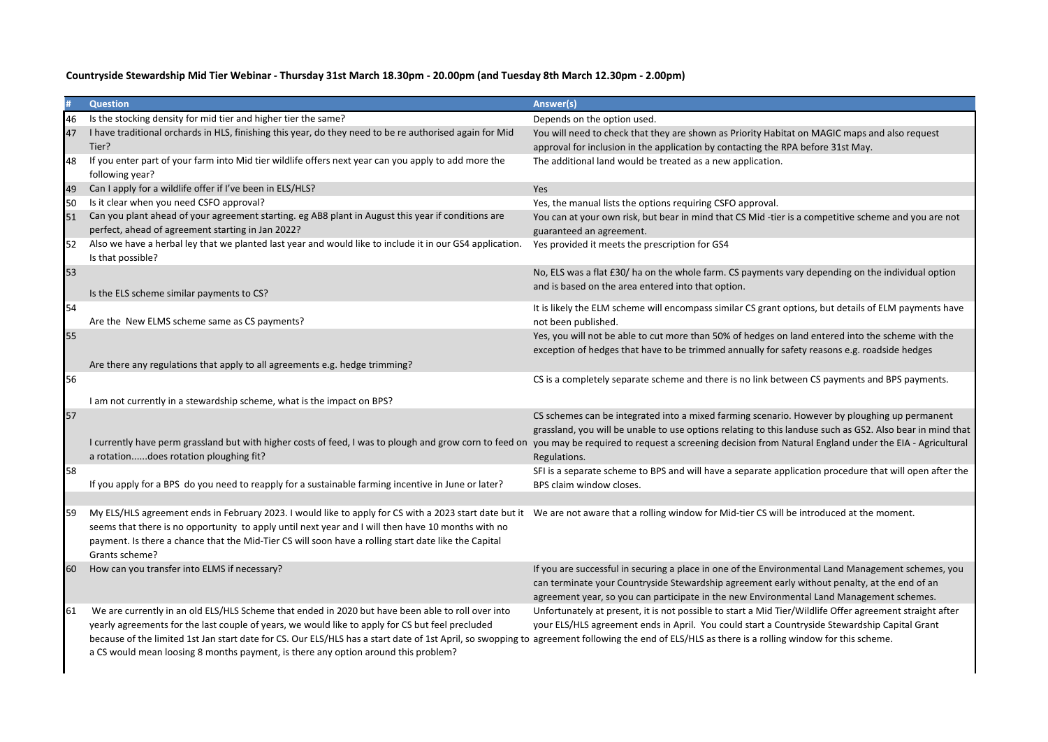|           | <b>Question</b>                                                                                                                                                                                                                                                                                                                                                                                                                                                                                 | Answer(s)                                                                                                                                                                                                                                                                                                                           |
|-----------|-------------------------------------------------------------------------------------------------------------------------------------------------------------------------------------------------------------------------------------------------------------------------------------------------------------------------------------------------------------------------------------------------------------------------------------------------------------------------------------------------|-------------------------------------------------------------------------------------------------------------------------------------------------------------------------------------------------------------------------------------------------------------------------------------------------------------------------------------|
| 46        | Is the stocking density for mid tier and higher tier the same?                                                                                                                                                                                                                                                                                                                                                                                                                                  | Depends on the option used.                                                                                                                                                                                                                                                                                                         |
| 47        | I have traditional orchards in HLS, finishing this year, do they need to be re authorised again for Mid<br>Tier?                                                                                                                                                                                                                                                                                                                                                                                | You will need to check that they are shown as Priority Habitat on MAGIC maps and also request<br>approval for inclusion in the application by contacting the RPA before 31st May.                                                                                                                                                   |
| 48        | If you enter part of your farm into Mid tier wildlife offers next year can you apply to add more the<br>following year?                                                                                                                                                                                                                                                                                                                                                                         | The additional land would be treated as a new application.                                                                                                                                                                                                                                                                          |
| 49        | Can I apply for a wildlife offer if I've been in ELS/HLS?                                                                                                                                                                                                                                                                                                                                                                                                                                       | Yes                                                                                                                                                                                                                                                                                                                                 |
| 50        | Is it clear when you need CSFO approval?                                                                                                                                                                                                                                                                                                                                                                                                                                                        | Yes, the manual lists the options requiring CSFO approval.                                                                                                                                                                                                                                                                          |
| 51        | Can you plant ahead of your agreement starting. eg AB8 plant in August this year if conditions are<br>perfect, ahead of agreement starting in Jan 2022?                                                                                                                                                                                                                                                                                                                                         | You can at your own risk, but bear in mind that CS Mid -tier is a competitive scheme and you are not<br>guaranteed an agreement.                                                                                                                                                                                                    |
| 52        | Also we have a herbal ley that we planted last year and would like to include it in our GS4 application.<br>Is that possible?                                                                                                                                                                                                                                                                                                                                                                   | Yes provided it meets the prescription for GS4                                                                                                                                                                                                                                                                                      |
| 53        | Is the ELS scheme similar payments to CS?                                                                                                                                                                                                                                                                                                                                                                                                                                                       | No, ELS was a flat £30/ ha on the whole farm. CS payments vary depending on the individual option<br>and is based on the area entered into that option.                                                                                                                                                                             |
| 54        | Are the New ELMS scheme same as CS payments?                                                                                                                                                                                                                                                                                                                                                                                                                                                    | It is likely the ELM scheme will encompass similar CS grant options, but details of ELM payments have<br>not been published.                                                                                                                                                                                                        |
| 55        | Are there any regulations that apply to all agreements e.g. hedge trimming?                                                                                                                                                                                                                                                                                                                                                                                                                     | Yes, you will not be able to cut more than 50% of hedges on land entered into the scheme with the<br>exception of hedges that have to be trimmed annually for safety reasons e.g. roadside hedges                                                                                                                                   |
| 56        |                                                                                                                                                                                                                                                                                                                                                                                                                                                                                                 | CS is a completely separate scheme and there is no link between CS payments and BPS payments.                                                                                                                                                                                                                                       |
|           | I am not currently in a stewardship scheme, what is the impact on BPS?                                                                                                                                                                                                                                                                                                                                                                                                                          |                                                                                                                                                                                                                                                                                                                                     |
| 57        | I currently have perm grassland but with higher costs of feed, I was to plough and grow corn to feed on<br>a rotationdoes rotation ploughing fit?                                                                                                                                                                                                                                                                                                                                               | CS schemes can be integrated into a mixed farming scenario. However by ploughing up permanent<br>grassland, you will be unable to use options relating to this landuse such as GS2. Also bear in mind that<br>you may be required to request a screening decision from Natural England under the EIA - Agricultural<br>Regulations. |
| 58        | If you apply for a BPS do you need to reapply for a sustainable farming incentive in June or later?                                                                                                                                                                                                                                                                                                                                                                                             | SFI is a separate scheme to BPS and will have a separate application procedure that will open after the<br>BPS claim window closes.                                                                                                                                                                                                 |
| 59        | My ELS/HLS agreement ends in February 2023. I would like to apply for CS with a 2023 start date but it We are not aware that a rolling window for Mid-tier CS will be introduced at the moment.<br>seems that there is no opportunity to apply until next year and I will then have 10 months with no<br>payment. Is there a chance that the Mid-Tier CS will soon have a rolling start date like the Capital<br>Grants scheme?                                                                 |                                                                                                                                                                                                                                                                                                                                     |
| <b>60</b> | How can you transfer into ELMS if necessary?                                                                                                                                                                                                                                                                                                                                                                                                                                                    | If you are successful in securing a place in one of the Environmental Land Management schemes, you<br>can terminate your Countryside Stewardship agreement early without penalty, at the end of an<br>agreement year, so you can participate in the new Environmental Land Management schemes.                                      |
| 61        | We are currently in an old ELS/HLS Scheme that ended in 2020 but have been able to roll over into<br>yearly agreements for the last couple of years, we would like to apply for CS but feel precluded<br>because of the limited 1st Jan start date for CS. Our ELS/HLS has a start date of 1st April, so swopping to agreement following the end of ELS/HLS as there is a rolling window for this scheme.<br>a CS would mean loosing 8 months payment, is there any option around this problem? | Unfortunately at present, it is not possible to start a Mid Tier/Wildlife Offer agreement straight after<br>your ELS/HLS agreement ends in April. You could start a Countryside Stewardship Capital Grant                                                                                                                           |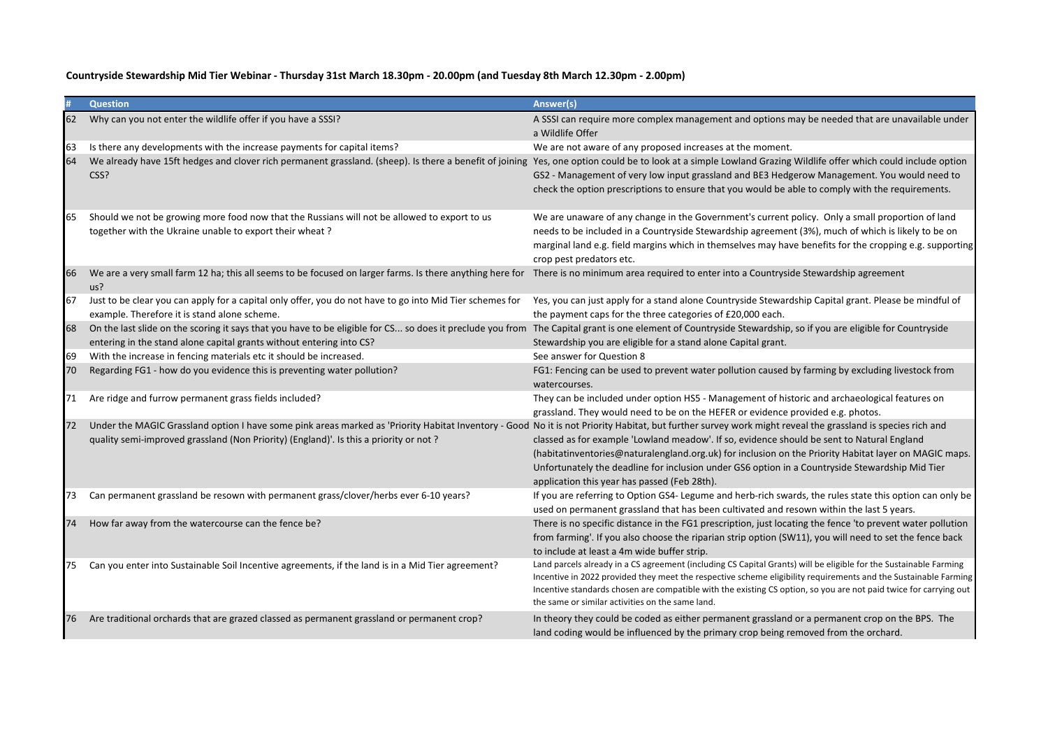|     | <b>Question</b>                                                                                                                                                                                                                                                                                     | Answer(s)                                                                                                                                                                                                                                                                                                                                                                                                     |
|-----|-----------------------------------------------------------------------------------------------------------------------------------------------------------------------------------------------------------------------------------------------------------------------------------------------------|---------------------------------------------------------------------------------------------------------------------------------------------------------------------------------------------------------------------------------------------------------------------------------------------------------------------------------------------------------------------------------------------------------------|
| 62  | Why can you not enter the wildlife offer if you have a SSSI?                                                                                                                                                                                                                                        | A SSSI can require more complex management and options may be needed that are unavailable under<br>a Wildlife Offer                                                                                                                                                                                                                                                                                           |
| 63  | Is there any developments with the increase payments for capital items?                                                                                                                                                                                                                             | We are not aware of any proposed increases at the moment.                                                                                                                                                                                                                                                                                                                                                     |
| 64  | We already have 15ft hedges and clover rich permanent grassland. (sheep). Is there a benefit of joining<br>CSS?                                                                                                                                                                                     | Yes, one option could be to look at a simple Lowland Grazing Wildlife offer which could include option<br>GS2 - Management of very low input grassland and BE3 Hedgerow Management. You would need to<br>check the option prescriptions to ensure that you would be able to comply with the requirements.                                                                                                     |
| 65  | Should we not be growing more food now that the Russians will not be allowed to export to us<br>together with the Ukraine unable to export their wheat?                                                                                                                                             | We are unaware of any change in the Government's current policy. Only a small proportion of land<br>needs to be included in a Countryside Stewardship agreement (3%), much of which is likely to be on<br>marginal land e.g. field margins which in themselves may have benefits for the cropping e.g. supporting<br>crop pest predators etc.                                                                 |
| 66  | We are a very small farm 12 ha; this all seems to be focused on larger farms. Is there anything here for<br>us?                                                                                                                                                                                     | There is no minimum area required to enter into a Countryside Stewardship agreement                                                                                                                                                                                                                                                                                                                           |
| 67  | Just to be clear you can apply for a capital only offer, you do not have to go into Mid Tier schemes for<br>example. Therefore it is stand alone scheme.                                                                                                                                            | Yes, you can just apply for a stand alone Countryside Stewardship Capital grant. Please be mindful of<br>the payment caps for the three categories of £20,000 each.                                                                                                                                                                                                                                           |
| 68  | On the last slide on the scoring it says that you have to be eligible for CS so does it preclude you from<br>entering in the stand alone capital grants without entering into CS?                                                                                                                   | The Capital grant is one element of Countryside Stewardship, so if you are eligible for Countryside<br>Stewardship you are eligible for a stand alone Capital grant.                                                                                                                                                                                                                                          |
| 69  | With the increase in fencing materials etc it should be increased.                                                                                                                                                                                                                                  | See answer for Question 8                                                                                                                                                                                                                                                                                                                                                                                     |
| 70  | Regarding FG1 - how do you evidence this is preventing water pollution?                                                                                                                                                                                                                             | FG1: Fencing can be used to prevent water pollution caused by farming by excluding livestock from<br>watercourses.                                                                                                                                                                                                                                                                                            |
| 71  | Are ridge and furrow permanent grass fields included?                                                                                                                                                                                                                                               | They can be included under option HS5 - Management of historic and archaeological features on<br>grassland. They would need to be on the HEFER or evidence provided e.g. photos.                                                                                                                                                                                                                              |
| 72  | Under the MAGIC Grassland option I have some pink areas marked as 'Priority Habitat Inventory - Good No it is not Priority Habitat, but further survey work might reveal the grassland is species rich and<br>quality semi-improved grassland (Non Priority) (England)'. Is this a priority or not? | classed as for example 'Lowland meadow'. If so, evidence should be sent to Natural England<br>(habitatinventories@naturalengland.org.uk) for inclusion on the Priority Habitat layer on MAGIC maps.<br>Unfortunately the deadline for inclusion under GS6 option in a Countryside Stewardship Mid Tier<br>application this year has passed (Feb 28th).                                                        |
| 73  | Can permanent grassland be resown with permanent grass/clover/herbs ever 6-10 years?                                                                                                                                                                                                                | If you are referring to Option GS4- Legume and herb-rich swards, the rules state this option can only be<br>used on permanent grassland that has been cultivated and resown within the last 5 years.                                                                                                                                                                                                          |
| 74  | How far away from the watercourse can the fence be?                                                                                                                                                                                                                                                 | There is no specific distance in the FG1 prescription, just locating the fence 'to prevent water pollution<br>from farming'. If you also choose the riparian strip option (SW11), you will need to set the fence back<br>to include at least a 4m wide buffer strip.                                                                                                                                          |
| 75  | Can you enter into Sustainable Soil Incentive agreements, if the land is in a Mid Tier agreement?                                                                                                                                                                                                   | Land parcels already in a CS agreement (including CS Capital Grants) will be eligible for the Sustainable Farming<br>Incentive in 2022 provided they meet the respective scheme eligibility requirements and the Sustainable Farming<br>Incentive standards chosen are compatible with the existing CS option, so you are not paid twice for carrying out<br>the same or similar activities on the same land. |
| 176 | Are traditional orchards that are grazed classed as permanent grassland or permanent crop?                                                                                                                                                                                                          | In theory they could be coded as either permanent grassland or a permanent crop on the BPS. The<br>land coding would be influenced by the primary crop being removed from the orchard.                                                                                                                                                                                                                        |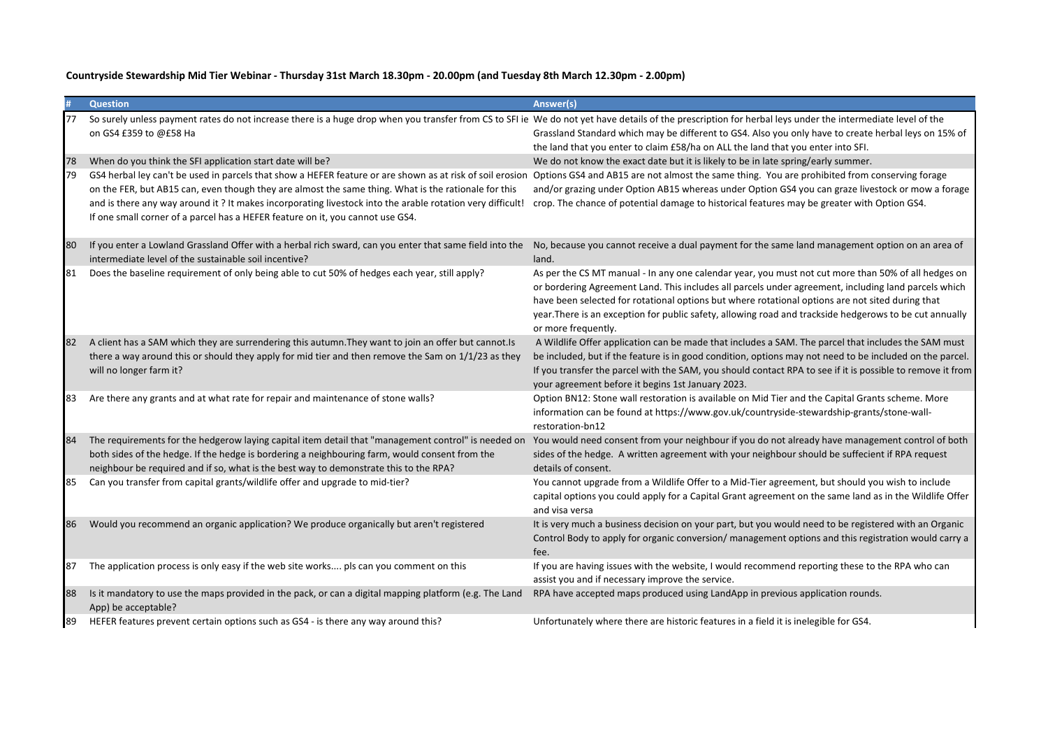|     | <b>Question</b>                                                                                                                                                                                                                                                                                                                                                                                                  | Answer(s)                                                                                                                                                                                                                                                                                                                                                                                                                                         |
|-----|------------------------------------------------------------------------------------------------------------------------------------------------------------------------------------------------------------------------------------------------------------------------------------------------------------------------------------------------------------------------------------------------------------------|---------------------------------------------------------------------------------------------------------------------------------------------------------------------------------------------------------------------------------------------------------------------------------------------------------------------------------------------------------------------------------------------------------------------------------------------------|
|     | So surely unless payment rates do not increase there is a huge drop when you transfer from CS to SFI ie We do not yet have details of the prescription for herbal leys under the intermediate level of the<br>on GS4 £359 to @£58 Ha                                                                                                                                                                             | Grassland Standard which may be different to GS4. Also you only have to create herbal leys on 15% of<br>the land that you enter to claim £58/ha on ALL the land that you enter into SFI.                                                                                                                                                                                                                                                          |
| 78  | When do you think the SFI application start date will be?                                                                                                                                                                                                                                                                                                                                                        | We do not know the exact date but it is likely to be in late spring/early summer.                                                                                                                                                                                                                                                                                                                                                                 |
| 79  | GS4 herbal ley can't be used in parcels that show a HEFER feature or are shown as at risk of soil erosion<br>on the FER, but AB15 can, even though they are almost the same thing. What is the rationale for this<br>and is there any way around it? It makes incorporating livestock into the arable rotation very difficult!<br>If one small corner of a parcel has a HEFER feature on it, you cannot use GS4. | Options GS4 and AB15 are not almost the same thing. You are prohibited from conserving forage<br>and/or grazing under Option AB15 whereas under Option GS4 you can graze livestock or mow a forage<br>crop. The chance of potential damage to historical features may be greater with Option GS4.                                                                                                                                                 |
| 80  | If you enter a Lowland Grassland Offer with a herbal rich sward, can you enter that same field into the<br>intermediate level of the sustainable soil incentive?                                                                                                                                                                                                                                                 | No, because you cannot receive a dual payment for the same land management option on an area of<br>land.                                                                                                                                                                                                                                                                                                                                          |
| 81  | Does the baseline requirement of only being able to cut 50% of hedges each year, still apply?                                                                                                                                                                                                                                                                                                                    | As per the CS MT manual - In any one calendar year, you must not cut more than 50% of all hedges on<br>or bordering Agreement Land. This includes all parcels under agreement, including land parcels which<br>have been selected for rotational options but where rotational options are not sited during that<br>year. There is an exception for public safety, allowing road and trackside hedgerows to be cut annually<br>or more frequently. |
|     | A client has a SAM which they are surrendering this autumn. They want to join an offer but cannot. Is<br>there a way around this or should they apply for mid tier and then remove the Sam on 1/1/23 as they<br>will no longer farm it?                                                                                                                                                                          | A Wildlife Offer application can be made that includes a SAM. The parcel that includes the SAM must<br>be included, but if the feature is in good condition, options may not need to be included on the parcel.<br>If you transfer the parcel with the SAM, you should contact RPA to see if it is possible to remove it from<br>your agreement before it begins 1st January 2023.                                                                |
| 83  | Are there any grants and at what rate for repair and maintenance of stone walls?                                                                                                                                                                                                                                                                                                                                 | Option BN12: Stone wall restoration is available on Mid Tier and the Capital Grants scheme. More<br>information can be found at https://www.gov.uk/countryside-stewardship-grants/stone-wall-<br>restoration-bn12                                                                                                                                                                                                                                 |
| 84  | The requirements for the hedgerow laying capital item detail that "management control" is needed on<br>both sides of the hedge. If the hedge is bordering a neighbouring farm, would consent from the<br>neighbour be required and if so, what is the best way to demonstrate this to the RPA?                                                                                                                   | You would need consent from your neighbour if you do not already have management control of both<br>sides of the hedge. A written agreement with your neighbour should be suffecient if RPA request<br>details of consent.                                                                                                                                                                                                                        |
| 85  | Can you transfer from capital grants/wildlife offer and upgrade to mid-tier?                                                                                                                                                                                                                                                                                                                                     | You cannot upgrade from a Wildlife Offer to a Mid-Tier agreement, but should you wish to include<br>capital options you could apply for a Capital Grant agreement on the same land as in the Wildlife Offer<br>and visa versa                                                                                                                                                                                                                     |
| 186 | Would you recommend an organic application? We produce organically but aren't registered                                                                                                                                                                                                                                                                                                                         | It is very much a business decision on your part, but you would need to be registered with an Organic<br>Control Body to apply for organic conversion/ management options and this registration would carry a<br>fee.                                                                                                                                                                                                                             |
| 87  | The application process is only easy if the web site works pls can you comment on this                                                                                                                                                                                                                                                                                                                           | If you are having issues with the website, I would recommend reporting these to the RPA who can<br>assist you and if necessary improve the service.                                                                                                                                                                                                                                                                                               |
| 88  | Is it mandatory to use the maps provided in the pack, or can a digital mapping platform (e.g. The Land<br>App) be acceptable?                                                                                                                                                                                                                                                                                    | RPA have accepted maps produced using LandApp in previous application rounds.                                                                                                                                                                                                                                                                                                                                                                     |
| 89  | HEFER features prevent certain options such as GS4 - is there any way around this?                                                                                                                                                                                                                                                                                                                               | Unfortunately where there are historic features in a field it is inelegible for GS4.                                                                                                                                                                                                                                                                                                                                                              |